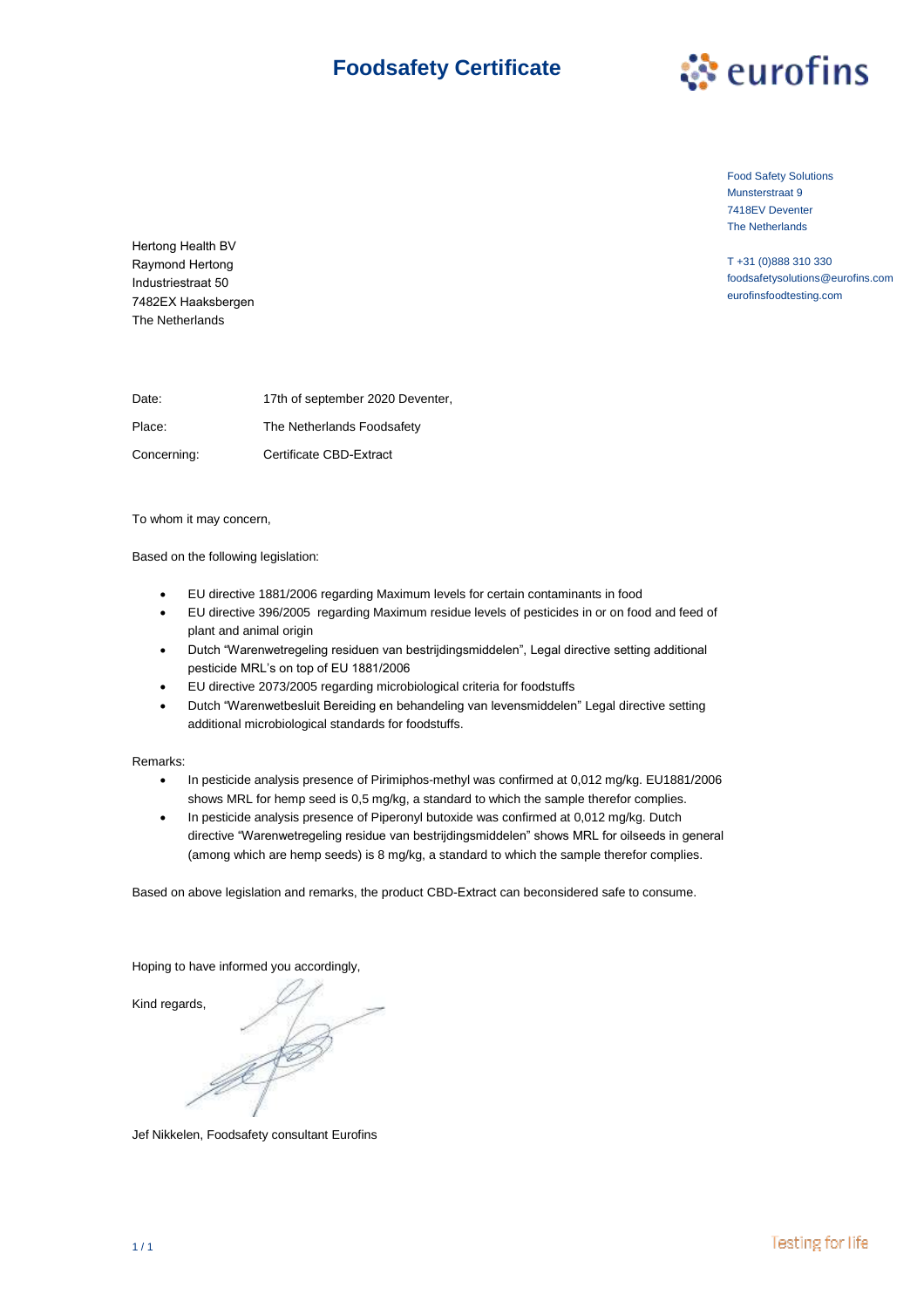# **Foodsafety Certificate**



Food Safety Solutions Munsterstraat 9 7418EV Deventer The Netherlands

T +31 (0)888 310 330 foodsafetysolutions@eurofins.com eurofinsfoodtesting.com

Hertong Health BV Raymond Hertong Industriestraat 50 7482EX Haaksbergen The Netherlands

Date: Place: Concerning: 17th of september 2020 Deventer, The Netherlands Foodsafety Certificate CBD-Extract

To whom it may concern,

Based on the following legislation:

- EU directive 1881/2006 regarding Maximum levels for certain contaminants in food
- EU directive 396/2005 regarding Maximum residue levels of pesticides in or on food and feed of plant and animal origin
- Dutch "Warenwetregeling residuen van bestrijdingsmiddelen", Legal directive setting additional pesticide MRL's on top of EU 1881/2006
- EU directive 2073/2005 regarding microbiological criteria for foodstuffs
- Dutch "Warenwetbesluit Bereiding en behandeling van levensmiddelen" Legal directive setting additional microbiological standards for foodstuffs.

Remarks:

- In pesticide analysis presence of Pirimiphos-methyl was confirmed at 0,012 mg/kg. EU1881/2006 shows MRL for hemp seed is 0,5 mg/kg, a standard to which the sample therefor complies.
- In pesticide analysis presence of Piperonyl butoxide was confirmed at 0,012 mg/kg. Dutch directive "Warenwetregeling residue van bestrijdingsmiddelen" shows MRL for oilseeds in general (among which are hemp seeds) is 8 mg/kg, a standard to which the sample therefor complies.

Based on above legislation and remarks, the product CBD-Extract can beconsidered safe to consume.

Hoping to have informed you accordingly,

Kind regards,

Jef Nikkelen, Foodsafety consultant Eurofins

**Testing for life**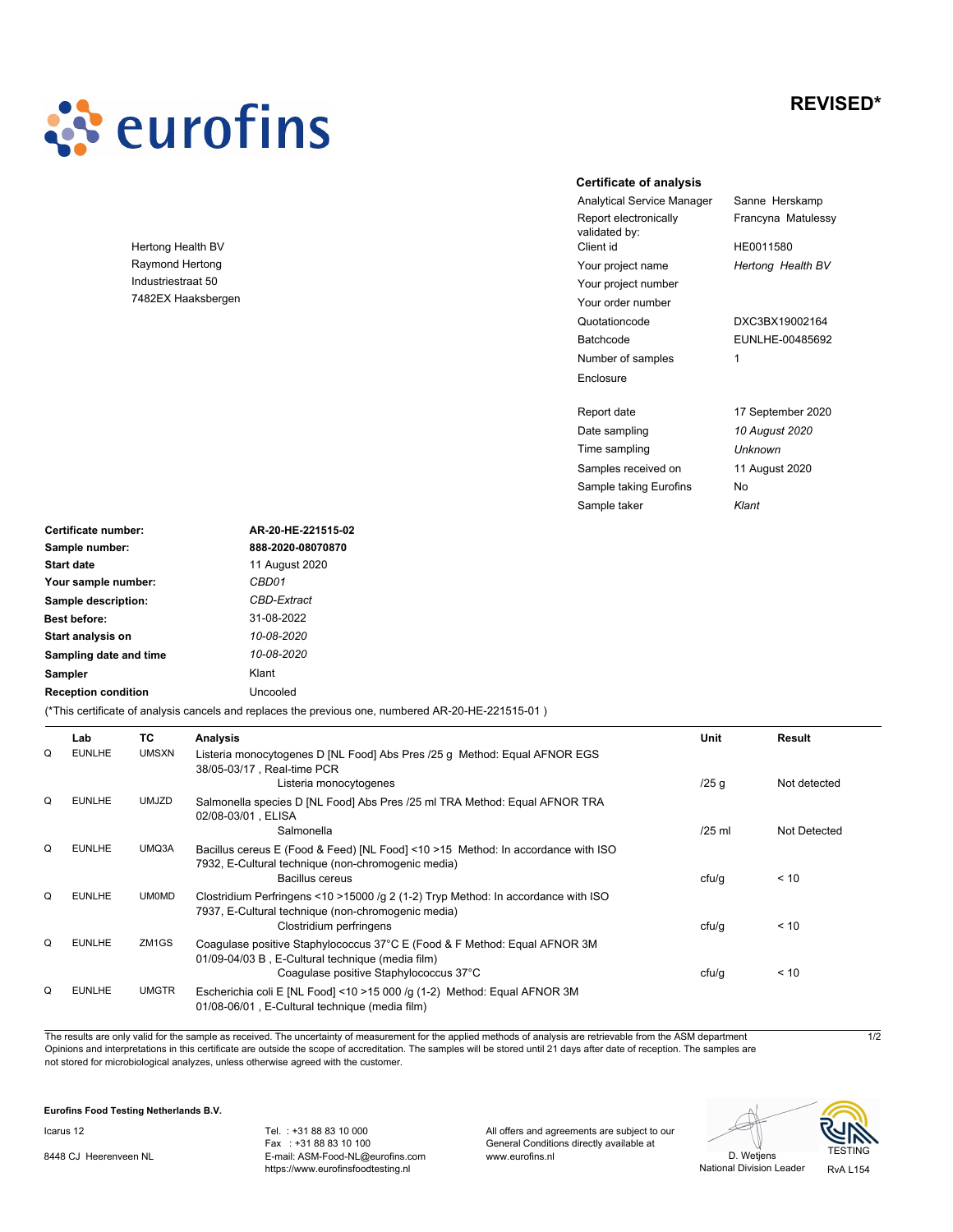# **REVISED\***



Hertong Health BV Raymond Hertong Industriestraat 50 7482EX Haaksbergen

### **Certificate of analysis**

Report electronically validated by:<br>Client id Quotationcode DXC3BX19002164 Your order number Your project number Your project name Batchcode Number of samples Enclosure

Report date

Sample taker

Analytical Service Manager Sanne Herskamp Francyna Matulessy

> HE0011580 *Hertong Health BV*

1 EUNLHE-00485692

Samples received on 11 August 2020 Date sampling *10 August 2020* 17 September 2020 *Klant* Time sampling *Unknown* Sample taking Eurofins No

| Certificate number:        | AR-20-HE-221515-02                                                                                 |
|----------------------------|----------------------------------------------------------------------------------------------------|
| Sample number:             | 888-2020-08070870                                                                                  |
| <b>Start date</b>          | 11 August 2020                                                                                     |
| Your sample number:        | CBD01                                                                                              |
| Sample description:        | CBD-Extract                                                                                        |
| <b>Best before:</b>        | 31-08-2022                                                                                         |
| Start analysis on          | 10-08-2020                                                                                         |
| Sampling date and time     | 10-08-2020                                                                                         |
| <b>Sampler</b>             | Klant                                                                                              |
| <b>Reception condition</b> | Uncooled                                                                                           |
|                            | (*This certificate of analysis cancels and replaces the previous one, numbered AR-20-HE-221515-01) |

|   | Lab           | ТC                | <b>Analysis</b>                                                                                                                                                         | Unit     | Result       |
|---|---------------|-------------------|-------------------------------------------------------------------------------------------------------------------------------------------------------------------------|----------|--------------|
| Q | <b>EUNLHE</b> | <b>UMSXN</b>      | Listeria monocytogenes D [NL Food] Abs Pres /25 g Method: Equal AFNOR EGS<br>38/05-03/17, Real-time PCR<br>Listeria monocytogenes                                       | $/25$ g  | Not detected |
| Q | <b>EUNLHE</b> | UMJZD             | Salmonella species D [NL Food] Abs Pres /25 ml TRA Method: Equal AFNOR TRA<br>02/08-03/01, ELISA<br>Salmonella                                                          | $/25$ ml | Not Detected |
| Q | <b>EUNLHE</b> | UMQ3A             | Bacillus cereus E (Food & Feed) [NL Food] <10 >15 Method: In accordance with ISO<br>7932, E-Cultural technique (non-chromogenic media)<br>Bacillus cereus               | cfu/g    | < 10         |
| Q | <b>EUNLHE</b> | <b>UM0MD</b>      | Clostridium Perfringens <10 > 15000 /g 2 (1-2) Tryp Method: In accordance with ISO<br>7937, E-Cultural technique (non-chromogenic media)<br>Clostridium perfringens     | cfu/g    | < 10         |
| Q | <b>EUNLHE</b> | ZM <sub>1GS</sub> | Coaquiase positive Staphylococcus 37°C E (Food & F Method: Equal AFNOR 3M<br>01/09-04/03 B, E-Cultural technique (media film)<br>Coaquiase positive Staphylococcus 37°C | cfu/g    | < 10         |
| Q | <b>EUNLHE</b> | <b>UMGTR</b>      | Escherichia coli E [NL Food] <10 >15 000 /q (1-2) Method: Equal AFNOR 3M<br>01/08-06/01, E-Cultural technique (media film)                                              |          |              |

The results are only valid for the sample as received. The uncertainty of measurement for the applied methods of analysis are retrievable from the ASM department Opinions and interpretations in this certificate are outside the scope of accreditation. The samples will be stored until 21 days after date of reception. The samples are not stored for microbiological analyzes, unless otherwise agreed with the customer.

## **Eurofins Food Testing Netherlands B.V.**

Icarus 12

8448 CJ Heerenveen NL

Tel. : +31 88 83 10 000 Fax : +31 88 83 10 100 E-mail: ASM-Food-NL@eurofins.com https://www.eurofinsfoodtesting.nl

All offers and agreements are subject to our General Conditions directly available at www.eurofins.nl D. Wetjens



 $\overline{1/2}$